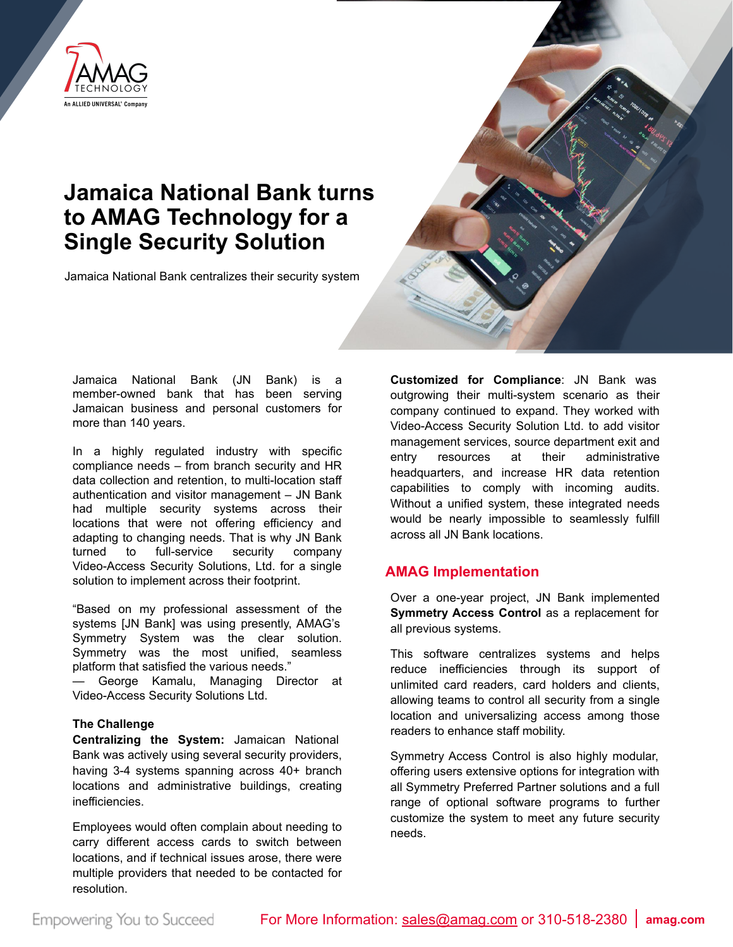

## **Jamaica National Bank turns to AMAG Technology for a Single Security Solution**

Jamaica National Bank centralizes their security system



Jamaica National Bank (JN Bank) is a member-owned bank that has been serving Jamaican business and personal customers for more than 140 years.

In a highly regulated industry with specific compliance needs – from branch security and HR data collection and retention, to multi-location staff authentication and visitor management – JN Bank had multiple security systems across their locations that were not offering efficiency and adapting to changing needs. That is why JN Bank turned to full-service security company Video-Access Security Solutions, Ltd. for a single solution to implement across their footprint.

"Based on my professional assessment of the systems [JN Bank] was using presently, AMAG's Symmetry System was the clear solution. Symmetry was the most unified, seamless platform that satisfied the various needs."

— George Kamalu, Managing Director at Video-Access Security Solutions Ltd.

## **The Challenge**

**Centralizing the System:** Jamaican National Bank was actively using several security providers, having 3-4 systems spanning across 40+ branch locations and administrative buildings, creating inefficiencies.

Employees would often complain about needing to carry different access cards to switch between locations, and if technical issues arose, there were multiple providers that needed to be contacted for resolution.

**Customized for Compliance**: JN Bank was outgrowing their multi-system scenario as their company continued to expand. They worked with Video-Access Security Solution Ltd. to add visitor management services, source department exit and entry resources at their administrative headquarters, and increase HR data retention capabilities to comply with incoming audits. Without a unified system, these integrated needs would be nearly impossible to seamlessly fulfill across all JN Bank locations.

## **AMAG Implementation**

Over a one-year project, JN Bank implemented **Symmetry Access Control as a replacement for** all previous systems.

This software centralizes systems and helps reduce inefficiencies through its support of unlimited card readers, card holders and clients, allowing teams to control all security from a single location and universalizing access among those readers to enhance staff mobility.

Symmetry Access Control is also highly modular, offering users extensive options for integration with all Symmetry Preferred Partner solutions and a full range of optional software programs to further customize the system to meet any future security needs.